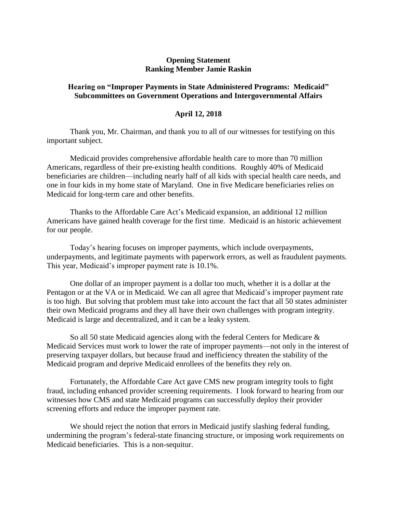## **Opening Statement Ranking Member Jamie Raskin**

## **Hearing on "Improper Payments in State Administered Programs: Medicaid" Subcommittees on Government Operations and Intergovernmental Affairs**

## **April 12, 2018**

Thank you, Mr. Chairman, and thank you to all of our witnesses for testifying on this important subject.

Medicaid provides comprehensive affordable health care to more than 70 million Americans, regardless of their pre-existing health conditions. Roughly 40% of Medicaid beneficiaries are children—including nearly half of all kids with special health care needs, and one in four kids in my home state of Maryland. One in five Medicare beneficiaries relies on Medicaid for long-term care and other benefits.

Thanks to the Affordable Care Act's Medicaid expansion, an additional 12 million Americans have gained health coverage for the first time. Medicaid is an historic achievement for our people.

Today's hearing focuses on improper payments, which include overpayments, underpayments, and legitimate payments with paperwork errors, as well as fraudulent payments. This year, Medicaid's improper payment rate is 10.1%.

One dollar of an improper payment is a dollar too much, whether it is a dollar at the Pentagon or at the VA or in Medicaid. We can all agree that Medicaid's improper payment rate is too high. But solving that problem must take into account the fact that all 50 states administer their own Medicaid programs and they all have their own challenges with program integrity. Medicaid is large and decentralized, and it can be a leaky system.

So all 50 state Medicaid agencies along with the federal Centers for Medicare & Medicaid Services must work to lower the rate of improper payments—not only in the interest of preserving taxpayer dollars, but because fraud and inefficiency threaten the stability of the Medicaid program and deprive Medicaid enrollees of the benefits they rely on.

Fortunately, the Affordable Care Act gave CMS new program integrity tools to fight fraud, including enhanced provider screening requirements. I look forward to hearing from our witnesses how CMS and state Medicaid programs can successfully deploy their provider screening efforts and reduce the improper payment rate.

We should reject the notion that errors in Medicaid justify slashing federal funding, undermining the program's federal-state financing structure, or imposing work requirements on Medicaid beneficiaries. This is a non-sequitur.